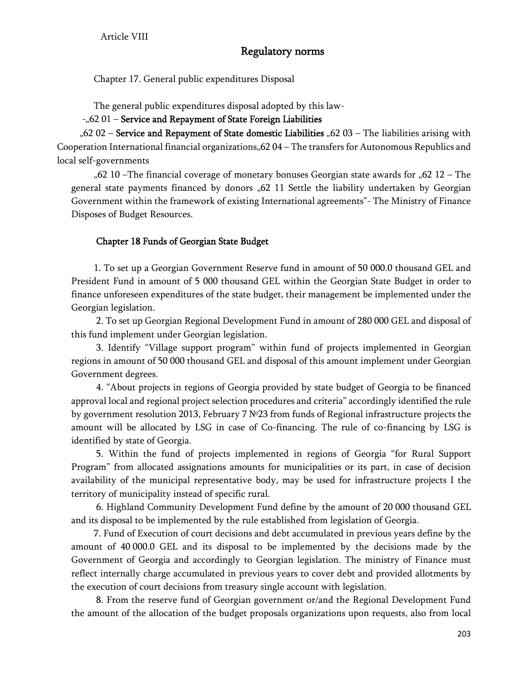# Regulatory norms

Chapter 17. General public expenditures Disposal

The general public expenditures disposal adopted by this law-

## $-$ <sub>"</sub> $62$  01 – Service and Repayment of State Foreign Liabilities

"62 02 - Service and Repayment of State domestic Liabilities "62 03 - The liabilities arising with Cooperation International financial organizations,  $62$  04 – The transfers for Autonomous Republics and local self-governments

"62 10 –The financial coverage of monetary bonuses Georgian state awards for "62 12 – The general state payments financed by donors  $0.62$  11 Settle the liability undertaken by Georgian Government within the framework of existing International agreements"- The Ministry of Finance Disposes of Budget Resources.

### Chapter 18 Funds of Georgian State Budget

1. To set up a Georgian Government Reserve fund in amount of 50 000.0 thousand GEL and President Fund in amount of 5 000 thousand GEL within the Georgian State Budget in order to finance unforeseen expenditures of the state budget, their management be implemented under the Georgian legislation.

 2. To set up Georgian Regional Development Fund in amount of 280 000 GEL and disposal of this fund implement under Georgian legislation.

 3. Identify "Village support program" within fund of projects implemented in Georgian regions in amount of 50 000 thousand GEL and disposal of this amount implement under Georgian Government degrees.

 4. "About projects in regions of Georgia provided by state budget of Georgia to be financed approval local and regional project selection procedures and criteria" accordingly identified the rule by government resolution 2013, February 7 №23 from funds of Regional infrastructure projects the amount will be allocated by LSG in case of Co-financing. The rule of co-financing by LSG is identified by state of Georgia.

 5. Within the fund of projects implemented in regions of Georgia "for Rural Support Program" from allocated assignations amounts for municipalities or its part, in case of decision availability of the municipal representative body, may be used for infrastructure projects I the territory of municipality instead of specific rural.

 6. Highland Community Development Fund define by the amount of 20 000 thousand GEL and its disposal to be implemented by the rule established from legislation of Georgia.

7. Fund of Execution of court decisions and debt accumulated in previous years define by the amount of 40 000.0 GEL and its disposal to be implemented by the decisions made by the Government of Georgia and accordingly to Georgian legislation. The ministry of Finance must reflect internally charge accumulated in previous years to cover debt and provided allotments by the execution of court decisions from treasury single account with legislation.

 8. From the reserve fund of Georgian government or/and the Regional Development Fund the amount of the allocation of the budget proposals organizations upon requests, also from local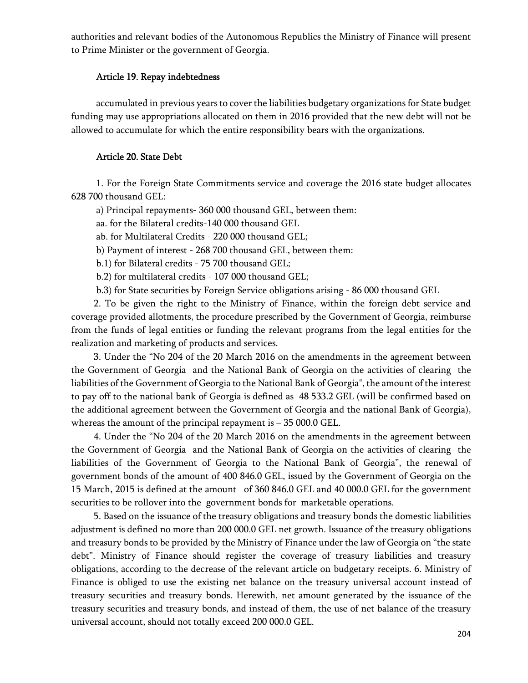authorities and relevant bodies of the Autonomous Republics the Ministry of Finance will present to Prime Minister or the government of Georgia.

#### Article 19. Repay indebtedness

 accumulated in previous years to cover the liabilities budgetary organizations for State budget funding may use appropriations allocated on them in 2016 provided that the new debt will not be allowed to accumulate for which the entire responsibility bears with the organizations.

#### Article 20. State Debt

 1. For the Foreign State Commitments service and coverage the 2016 state budget allocates 628 700 thousand GEL:

a) Principal repayments- 360 000 thousand GEL, between them:

aa. for the Bilateral credits-140 000 thousand GEL

ab. for Multilateral Credits - 220 000 thousand GEL;

b) Payment of interest - 268 700 thousand GEL, between them:

b.1) for Bilateral credits - 75 700 thousand GEL;

b.2) for multilateral credits - 107 000 thousand GEL;

b.3) for State securities by Foreign Service obligations arising - 86 000 thousand GEL

2. To be given the right to the Ministry of Finance, within the foreign debt service and coverage provided allotments, the procedure prescribed by the Government of Georgia, reimburse from the funds of legal entities or funding the relevant programs from the legal entities for the realization and marketing of products and services.

3. Under the "No 204 of the 20 March 2016 on the amendments in the agreement between the Government of Georgia and the National Bank of Georgia on the activities of clearing the liabilities of the Government of Georgia to the National Bank of Georgia", the amount of the interest to pay off to the national bank of Georgia is defined as 48 533.2 GEL (will be confirmed based on the additional agreement between the Government of Georgia and the national Bank of Georgia), whereas the amount of the principal repayment is – 35 000.0 GEL.

4. Under the "No 204 of the 20 March 2016 on the amendments in the agreement between the Government of Georgia and the National Bank of Georgia on the activities of clearing the liabilities of the Government of Georgia to the National Bank of Georgia", the renewal of government bonds of the amount of 400 846.0 GEL, issued by the Government of Georgia on the 15 March, 2015 is defined at the amount of 360 846.0 GEL and 40 000.0 GEL for the government securities to be rollover into the government bonds for marketable operations.

5. Based on the issuance of the treasury obligations and treasury bonds the domestic liabilities adjustment is defined no more than 200 000.0 GEL net growth. Issuance of the treasury obligations and treasury bonds to be provided by the Ministry of Finance under the law of Georgia on "the state debt". Ministry of Finance should register the coverage of treasury liabilities and treasury obligations, according to the decrease of the relevant article on budgetary receipts. 6. Ministry of Finance is obliged to use the existing net balance on the treasury universal account instead of treasury securities and treasury bonds. Herewith, net amount generated by the issuance of the treasury securities and treasury bonds, and instead of them, the use of net balance of the treasury universal account, should not totally exceed 200 000.0 GEL.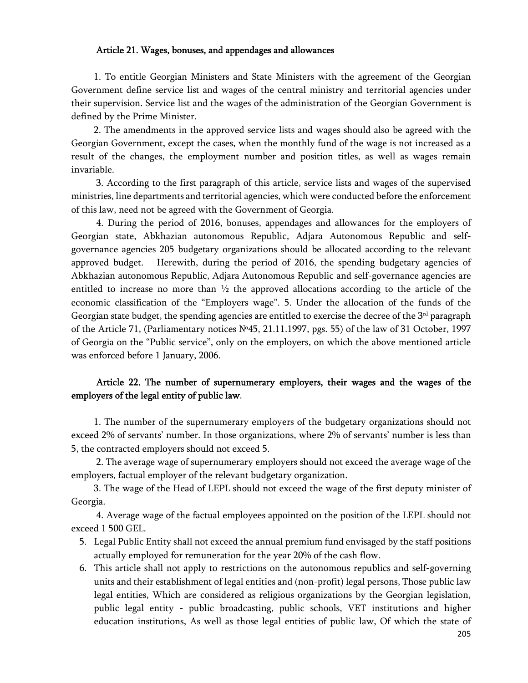#### Article 21. Wages, bonuses, and appendages and allowances

1. To entitle Georgian Ministers and State Ministers with the agreement of the Georgian Government define service list and wages of the central ministry and territorial agencies under their supervision. Service list and the wages of the administration of the Georgian Government is defined by the Prime Minister.

2. The amendments in the approved service lists and wages should also be agreed with the Georgian Government, except the cases, when the monthly fund of the wage is not increased as a result of the changes, the employment number and position titles, as well as wages remain invariable.

 3. According to the first paragraph of this article, service lists and wages of the supervised ministries, line departments and territorial agencies, which were conducted before the enforcement of this law, need not be agreed with the Government of Georgia.

 4. During the period of 2016, bonuses, appendages and allowances for the employers of Georgian state, Abkhazian autonomous Republic, Adjara Autonomous Republic and selfgovernance agencies 205 budgetary organizations should be allocated according to the relevant approved budget. Herewith, during the period of 2016, the spending budgetary agencies of Abkhazian autonomous Republic, Adjara Autonomous Republic and self-governance agencies are entitled to increase no more than  $\frac{1}{2}$  the approved allocations according to the article of the economic classification of the "Employers wage". 5. Under the allocation of the funds of the Georgian state budget, the spending agencies are entitled to exercise the decree of the  $3<sup>rd</sup>$  paragraph of the Article 71, (Parliamentary notices №45, 21.11.1997, pgs. 55) of the law of 31 October, 1997 of Georgia on the "Public service", only on the employers, on which the above mentioned article was enforced before 1 January, 2006.

### Article 22. The number of supernumerary employers, their wages and the wages of the employers of the legal entity of public law.

1. The number of the supernumerary employers of the budgetary organizations should not exceed 2% of servants' number. In those organizations, where 2% of servants' number is less than 5, the contracted employers should not exceed 5.

 2. The average wage of supernumerary employers should not exceed the average wage of the employers, factual employer of the relevant budgetary organization.

3. The wage of the Head of LEPL should not exceed the wage of the first deputy minister of Georgia.

 4. Average wage of the factual employees appointed on the position of the LEPL should not exceed 1 500 GEL.

- 5. Legal Public Entity shall not exceed the annual premium fund envisaged by the staff positions actually employed for remuneration for the year 20% of the cash flow.
- 6. This article shall not apply to restrictions on the autonomous republics and self-governing units and their establishment of legal entities and (non-profit) legal persons, Those public law legal entities, Which are considered as religious organizations by the Georgian legislation, public legal entity - public broadcasting, public schools, VET institutions and higher education institutions, As well as those legal entities of public law, Of which the state of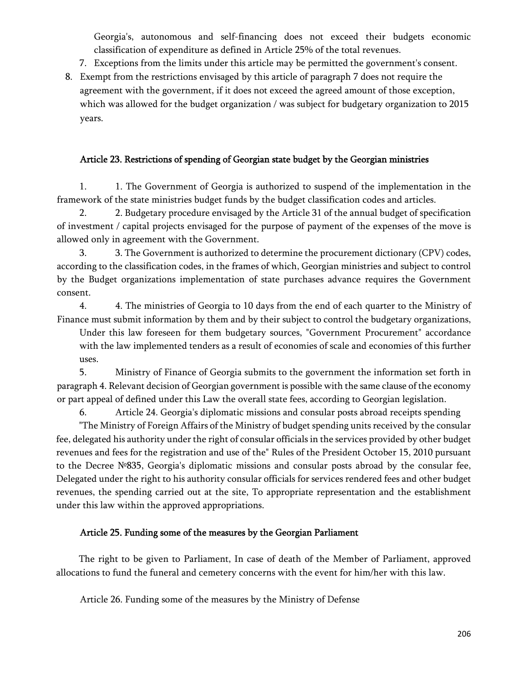Georgia's, autonomous and self-financing does not exceed their budgets economic classification of expenditure as defined in Article 25% of the total revenues.

- 7. Exceptions from the limits under this article may be permitted the government's consent.
- 8. Exempt from the restrictions envisaged by this article of paragraph 7 does not require the agreement with the government, if it does not exceed the agreed amount of those exception, which was allowed for the budget organization / was subject for budgetary organization to 2015 years.

#### Article 23. Restrictions of spending of Georgian state budget by the Georgian ministries

1. 1. The Government of Georgia is authorized to suspend of the implementation in the framework of the state ministries budget funds by the budget classification codes and articles.

2. 2. Budgetary procedure envisaged by the Article 31 of the annual budget of specification of investment / capital projects envisaged for the purpose of payment of the expenses of the move is allowed only in agreement with the Government.

3. 3. The Government is authorized to determine the procurement dictionary (CPV) codes, according to the classification codes, in the frames of which, Georgian ministries and subject to control by the Budget organizations implementation of state purchases advance requires the Government consent.

4. 4. The ministries of Georgia to 10 days from the end of each quarter to the Ministry of Finance must submit information by them and by their subject to control the budgetary organizations,

Under this law foreseen for them budgetary sources, "Government Procurement" accordance with the law implemented tenders as a result of economies of scale and economies of this further uses.

5. Ministry of Finance of Georgia submits to the government the information set forth in paragraph 4. Relevant decision of Georgian government is possible with the same clause of the economy or part appeal of defined under this Law the overall state fees, according to Georgian legislation.

6. Article 24. Georgia's diplomatic missions and consular posts abroad receipts spending

"The Ministry of Foreign Affairs of the Ministry of budget spending units received by the consular fee, delegated his authority under the right of consular officials in the services provided by other budget revenues and fees for the registration and use of the" Rules of the President October 15, 2010 pursuant to the Decree №835, Georgia's diplomatic missions and consular posts abroad by the consular fee, Delegated under the right to his authority consular officials for services rendered fees and other budget revenues, the spending carried out at the site, To appropriate representation and the establishment under this law within the approved appropriations.

#### Article 25. Funding some of the measures by the Georgian Parliament

The right to be given to Parliament, In case of death of the Member of Parliament, approved allocations to fund the funeral and cemetery concerns with the event for him/her with this law.

Article 26. Funding some of the measures by the Ministry of Defense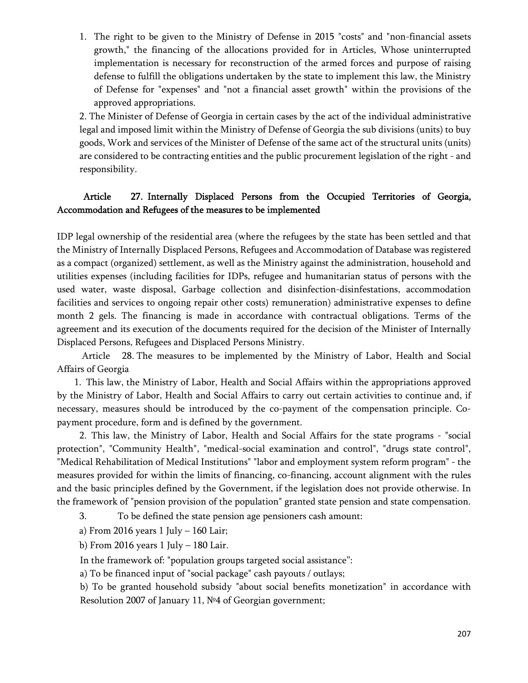1. The right to be given to the Ministry of Defense in 2015 "costs" and "non-financial assets growth," the financing of the allocations provided for in Articles, Whose uninterrupted implementation is necessary for reconstruction of the armed forces and purpose of raising defense to fulfill the obligations undertaken by the state to implement this law, the Ministry of Defense for "expenses" and "not a financial asset growth" within the provisions of the approved appropriations.

2. The Minister of Defense of Georgia in certain cases by the act of the individual administrative legal and imposed limit within the Ministry of Defense of Georgia the sub divisions (units) to buy goods, Work and services of the Minister of Defense of the same act of the structural units (units) are considered to be contracting entities and the public procurement legislation of the right - and responsibility.

## Article 27. Internally Displaced Persons from the Occupied Territories of Georgia, Accommodation and Refugees of the measures to be implemented

IDP legal ownership of the residential area (where the refugees by the state has been settled and that the Ministry of Internally Displaced Persons, Refugees and Accommodation of Database was registered as a compact (organized) settlement, as well as the Ministry against the administration, household and utilities expenses (including facilities for IDPs, refugee and humanitarian status of persons with the used water, waste disposal, Garbage collection and disinfection-disinfestations, accommodation facilities and services to ongoing repair other costs) remuneration) administrative expenses to define month 2 gels. The financing is made in accordance with contractual obligations. Terms of the agreement and its execution of the documents required for the decision of the Minister of Internally Displaced Persons, Refugees and Displaced Persons Ministry.

Article 28. The measures to be implemented by the Ministry of Labor, Health and Social Affairs of Georgia

1. This law, the Ministry of Labor, Health and Social Affairs within the appropriations approved by the Ministry of Labor, Health and Social Affairs to carry out certain activities to continue and, if necessary, measures should be introduced by the co-payment of the compensation principle. Copayment procedure, form and is defined by the government.

2. This law, the Ministry of Labor, Health and Social Affairs for the state programs - "social protection", "Community Health", "medical-social examination and control", "drugs state control", "Medical Rehabilitation of Medical Institutions" "labor and employment system reform program" - the measures provided for within the limits of financing, co-financing, account alignment with the rules and the basic principles defined by the Government, if the legislation does not provide otherwise. In the framework of "pension provision of the population" granted state pension and state compensation.

3. To be defined the state pension age pensioners cash amount:

a) From 2016 years  $1$  July  $-$  160 Lair;

b) From 2016 years  $1$  July  $-$  180 Lair.

In the framework of: "population groups targeted social assistance":

a) To be financed input of "social package" cash payouts / outlays;

b) To be granted household subsidy "about social benefits monetization" in accordance with Resolution 2007 of January 11, №4 of Georgian government;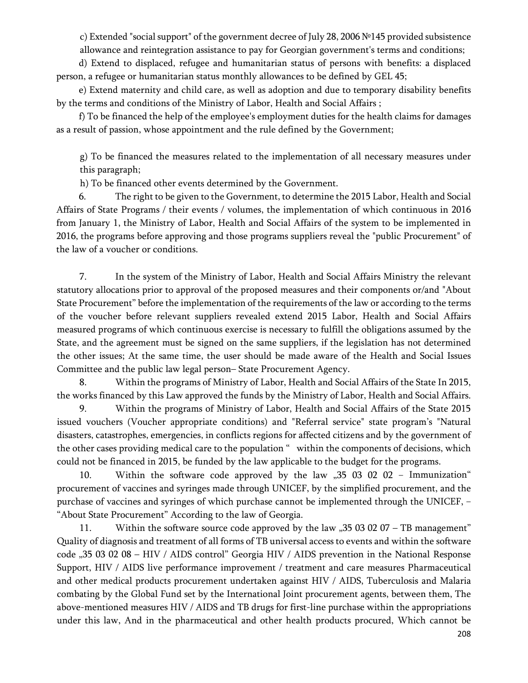c) Extended "social support" of the government decree of July 28, 2006 №145 provided subsistence allowance and reintegration assistance to pay for Georgian government's terms and conditions;

d) Extend to displaced, refugee and humanitarian status of persons with benefits: a displaced person, a refugee or humanitarian status monthly allowances to be defined by GEL 45;

e) Extend maternity and child care, as well as adoption and due to temporary disability benefits by the terms and conditions of the Ministry of Labor, Health and Social Affairs ;

f) To be financed the help of the employee's employment duties for the health claims for damages as a result of passion, whose appointment and the rule defined by the Government;

g) To be financed the measures related to the implementation of all necessary measures under this paragraph;

h) To be financed other events determined by the Government.

6. The right to be given to the Government, to determine the 2015 Labor, Health and Social Affairs of State Programs / their events / volumes, the implementation of which continuous in 2016 from January 1, the Ministry of Labor, Health and Social Affairs of the system to be implemented in 2016, the programs before approving and those programs suppliers reveal the "public Procurement" of the law of a voucher or conditions.

7. In the system of the Ministry of Labor, Health and Social Affairs Ministry the relevant statutory allocations prior to approval of the proposed measures and their components or/and "About State Procurement" before the implementation of the requirements of the law or according to the terms of the voucher before relevant suppliers revealed extend 2015 Labor, Health and Social Affairs measured programs of which continuous exercise is necessary to fulfill the obligations assumed by the State, and the agreement must be signed on the same suppliers, if the legislation has not determined the other issues; At the same time, the user should be made aware of the Health and Social Issues Committee and the public law legal person– State Procurement Agency.

8. Within the programs of Ministry of Labor, Health and Social Affairs of the State In 2015, the works financed by this Law approved the funds by the Ministry of Labor, Health and Social Affairs.

9. Within the programs of Ministry of Labor, Health and Social Affairs of the State 2015 issued vouchers (Voucher appropriate conditions) and "Referral service" state program's "Natural disasters, catastrophes, emergencies, in conflicts regions for affected citizens and by the government of the other cases providing medical care to the population " within the components of decisions, which could not be financed in 2015, be funded by the law applicable to the budget for the programs.

10. Within the software code approved by the law "35 03 02 02 − Immunization" procurement of vaccines and syringes made through UNICEF, by the simplified procurement, and the purchase of vaccines and syringes of which purchase cannot be implemented through the UNICEF, – "About State Procurement" According to the law of Georgia.

11. Within the software source code approved by the law  $,35030207 - TB$  management" Quality of diagnosis and treatment of all forms of TB universal access to events and within the software code "35 03 02 08 - HIV / AIDS control" Georgia HIV / AIDS prevention in the National Response Support, HIV / AIDS live performance improvement / treatment and care measures Pharmaceutical and other medical products procurement undertaken against HIV / AIDS, Tuberculosis and Malaria combating by the Global Fund set by the International Joint procurement agents, between them, The above-mentioned measures HIV / AIDS and TB drugs for first-line purchase within the appropriations under this law, And in the pharmaceutical and other health products procured, Which cannot be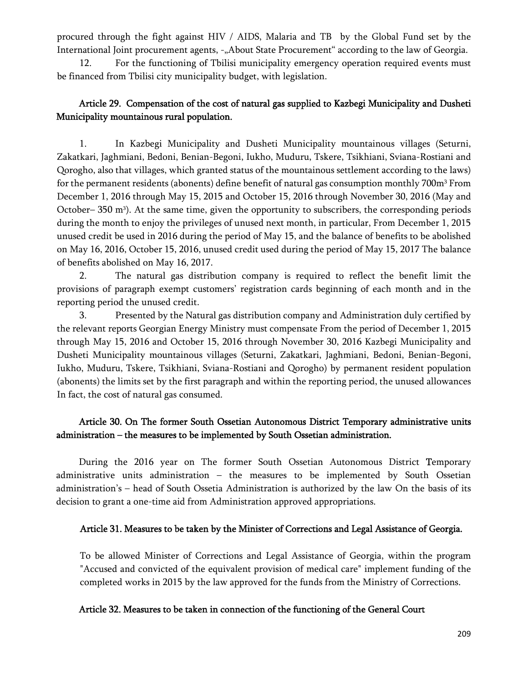procured through the fight against HIV / AIDS, Malaria and TB by the Global Fund set by the International Joint procurement agents, -"About State Procurement" according to the law of Georgia.

12. For the functioning of Tbilisi municipality emergency operation required events must be financed from Tbilisi city municipality budget, with legislation.

## Article 29. Compensation of the cost of natural gas supplied to Kazbegi Municipality and Dusheti Municipality mountainous rural population.

1. In Kazbegi Municipality and Dusheti Municipality mountainous villages (Seturni, Zakatkari, Jaghmiani, Bedoni, Benian-Begoni, Iukho, Muduru, Tskere, Tsikhiani, Sviana-Rostiani and Qorogho, also that villages, which granted status of the mountainous settlement according to the laws) for the permanent residents (abonents) define benefit of natural gas consumption monthly 700m<sup>3</sup> From December 1, 2016 through May 15, 2015 and October 15, 2016 through November 30, 2016 (May and October– 350 m3). At the same time, given the opportunity to subscribers, the corresponding periods during the month to enjoy the privileges of unused next month, in particular, From December 1, 2015 unused credit be used in 2016 during the period of May 15, and the balance of benefits to be abolished on May 16, 2016, October 15, 2016, unused credit used during the period of May 15, 2017 The balance of benefits abolished on May 16, 2017.

2. The natural gas distribution company is required to reflect the benefit limit the provisions of paragraph exempt customers' registration cards beginning of each month and in the reporting period the unused credit.

3. Presented by the Natural gas distribution company and Administration duly certified by the relevant reports Georgian Energy Ministry must compensate From the period of December 1, 2015 through May 15, 2016 and October 15, 2016 through November 30, 2016 Kazbegi Municipality and Dusheti Municipality mountainous villages (Seturni, Zakatkari, Jaghmiani, Bedoni, Benian-Begoni, Iukho, Muduru, Tskere, Tsikhiani, Sviana-Rostiani and Qorogho) by permanent resident population (abonents) the limits set by the first paragraph and within the reporting period, the unused allowances In fact, the cost of natural gas consumed.

## Article 30. On The former South Ossetian Autonomous District Temporary administrative units administration – the measures to be implemented by South Ossetian administration.

During the 2016 year on The former South Ossetian Autonomous District Temporary administrative units administration – the measures to be implemented by South Ossetian administration's – head of South Ossetia Administration is authorized by the law On the basis of its decision to grant a one-time aid from Administration approved appropriations.

## Article 31. Measures to be taken by the Minister of Corrections and Legal Assistance of Georgia.

To be allowed Minister of Corrections and Legal Assistance of Georgia, within the program "Accused and convicted of the equivalent provision of medical care" implement funding of the completed works in 2015 by the law approved for the funds from the Ministry of Corrections.

### Article 32. Measures to be taken in connection of the functioning of the General Court